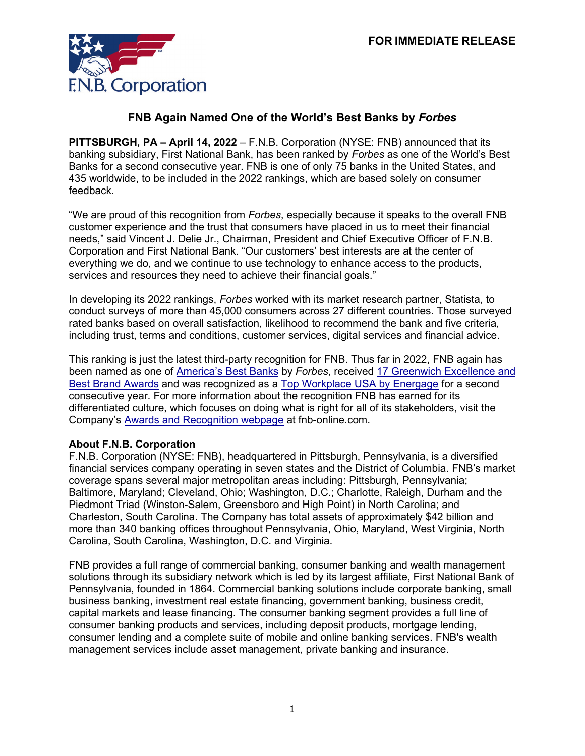

## **FNB Again Named One of the World's Best Banks by** *Forbes*

**PITTSBURGH, PA – April 14, 2022** – F.N.B. Corporation (NYSE: FNB) announced that its banking subsidiary, First National Bank, has been ranked by *Forbes* as one of the World's Best Banks for a second consecutive year. FNB is one of only 75 banks in the United States, and 435 worldwide, to be included in the 2022 rankings, which are based solely on consumer feedback.

"We are proud of this recognition from *Forbes*, especially because it speaks to the overall FNB customer experience and the trust that consumers have placed in us to meet their financial needs," said Vincent J. Delie Jr., Chairman, President and Chief Executive Officer of F.N.B. Corporation and First National Bank. "Our customers' best interests are at the center of everything we do, and we continue to use technology to enhance access to the products, services and resources they need to achieve their financial goals."

In developing its 2022 rankings, *Forbes* worked with its market research partner, Statista, to conduct surveys of more than 45,000 consumers across 27 different countries. Those surveyed rated banks based on overall satisfaction, likelihood to recommend the bank and five criteria, including trust, terms and conditions, customer services, digital services and financial advice.

This ranking is just the latest third-party recognition for FNB. Thus far in 2022, FNB again has been named as one of [America's Best Banks](https://www.forbes.com/lists/americas-best-banks/?sh=5ab6de14c0de) by *Forbes*, received [17 Greenwich Excellence](https://www.fnb-online.com/about-us/newsroom/press-releases/2022/fnb-corporation-honored-for-commercial-banking-client-experience) and [Best Brand](https://www.fnb-online.com/about-us/newsroom/press-releases/2022/fnb-corporation-honored-for-commercial-banking-client-experience) Awards and was recognized as a [Top Workplace USA by Energage](https://www.fnb-online.com/about-us/newsroom/press-releases/2022/fnb-corporations-banking-subsidiary-receives-national-top-workplace-honors) for a second consecutive year. For more information about the recognition FNB has earned for its differentiated culture, which focuses on doing what is right for all of its stakeholders, visit the Company's [Awards and Recognition webpage](https://www.fnb-online.com/about-us/newsroom/awards-and-recognition) at fnb-online.com.

## **About F.N.B. Corporation**

F.N.B. Corporation (NYSE: FNB), headquartered in Pittsburgh, Pennsylvania, is a diversified financial services company operating in seven states and the District of Columbia. FNB's market coverage spans several major metropolitan areas including: Pittsburgh, Pennsylvania; Baltimore, Maryland; Cleveland, Ohio; Washington, D.C.; Charlotte, Raleigh, Durham and the Piedmont Triad (Winston-Salem, Greensboro and High Point) in North Carolina; and Charleston, South Carolina. The Company has total assets of approximately \$42 billion and more than 340 banking offices throughout Pennsylvania, Ohio, Maryland, West Virginia, North Carolina, South Carolina, Washington, D.C. and Virginia.

FNB provides a full range of commercial banking, consumer banking and wealth management solutions through its subsidiary network which is led by its largest affiliate, First National Bank of Pennsylvania, founded in 1864. Commercial banking solutions include corporate banking, small business banking, investment real estate financing, government banking, business credit, capital markets and lease financing. The consumer banking segment provides a full line of consumer banking products and services, including deposit products, mortgage lending, consumer lending and a complete suite of mobile and online banking services. FNB's wealth management services include asset management, private banking and insurance.